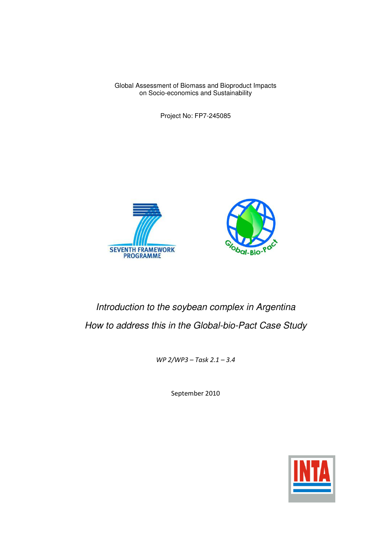Global Assessment of Biomass and Bioproduct Impacts on Socio-economics and Sustainability

Project No: FP7-245085





## Introduction to the soybean complex in Argentina How to address this in the Global-bio-Pact Case Study

WP 2/WP3 – Task 2.1 – 3.4

September 2010

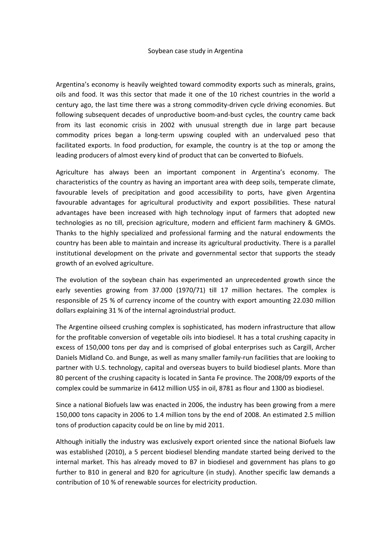Argentina's economy is heavily weighted toward commodity exports such as minerals, grains, oils and food. It was this sector that made it one of the 10 richest countries in the world a century ago, the last time there was a strong commodity-driven cycle driving economies. But following subsequent decades of unproductive boom-and-bust cycles, the country came back from its last economic crisis in 2002 with unusual strength due in large part because commodity prices began a long-term upswing coupled with an undervalued peso that facilitated exports. In food production, for example, the country is at the top or among the leading producers of almost every kind of product that can be converted to Biofuels.

Agriculture has always been an important component in Argentina's economy. The characteristics of the country as having an important area with deep soils, temperate climate, favourable levels of precipitation and good accessibility to ports, have given Argentina favourable advantages for agricultural productivity and export possibilities. These natural advantages have been increased with high technology input of farmers that adopted new technologies as no till, precision agriculture, modern and efficient farm machinery & GMOs. Thanks to the highly specialized and professional farming and the natural endowments the country has been able to maintain and increase its agricultural productivity. There is a parallel institutional development on the private and governmental sector that supports the steady growth of an evolved agriculture.

The evolution of the soybean chain has experimented an unprecedented growth since the early seventies growing from 37.000 (1970/71) till 17 million hectares. The complex is responsible of 25 % of currency income of the country with export amounting 22.030 million dollars explaining 31 % of the internal agroindustrial product.

The Argentine oilseed crushing complex is sophisticated, has modern infrastructure that allow for the profitable conversion of vegetable oils into biodiesel. It has a total crushing capacity in excess of 150,000 tons per day and is comprised of global enterprises such as Cargill, Archer Daniels Midland Co. and Bunge, as well as many smaller family-run facilities that are looking to partner with U.S. technology, capital and overseas buyers to build biodiesel plants. More than 80 percent of the crushing capacity is located in Santa Fe province. The 2008/09 exports of the complex could be summarize in 6412 million US\$ in oil, 8781 as flour and 1300 as biodiesel.

Since a national Biofuels law was enacted in 2006, the industry has been growing from a mere 150,000 tons capacity in 2006 to 1.4 million tons by the end of 2008. An estimated 2.5 million tons of production capacity could be on line by mid 2011.

Although initially the industry was exclusively export oriented since the national Biofuels law was established (2010), a 5 percent biodiesel blending mandate started being derived to the internal market. This has already moved to B7 in biodiesel and government has plans to go further to B10 in general and B20 for agriculture (in study). Another specific law demands a contribution of 10 % of renewable sources for electricity production.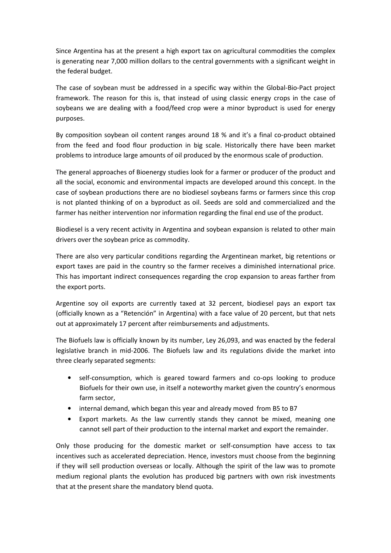Since Argentina has at the present a high export tax on agricultural commodities the complex is generating near 7,000 million dollars to the central governments with a significant weight in the federal budget.

The case of soybean must be addressed in a specific way within the Global-Bio-Pact project framework. The reason for this is, that instead of using classic energy crops in the case of soybeans we are dealing with a food/feed crop were a minor byproduct is used for energy purposes.

By composition soybean oil content ranges around 18 % and it's a final co-product obtained from the feed and food flour production in big scale. Historically there have been market problems to introduce large amounts of oil produced by the enormous scale of production.

The general approaches of Bioenergy studies look for a farmer or producer of the product and all the social, economic and environmental impacts are developed around this concept. In the case of soybean productions there are no biodiesel soybeans farms or farmers since this crop is not planted thinking of on a byproduct as oil. Seeds are sold and commercialized and the farmer has neither intervention nor information regarding the final end use of the product.

Biodiesel is a very recent activity in Argentina and soybean expansion is related to other main drivers over the soybean price as commodity.

There are also very particular conditions regarding the Argentinean market, big retentions or export taxes are paid in the country so the farmer receives a diminished international price. This has important indirect consequences regarding the crop expansion to areas farther from the export ports.

Argentine soy oil exports are currently taxed at 32 percent, biodiesel pays an export tax (officially known as a "Retención" in Argentina) with a face value of 20 percent, but that nets out at approximately 17 percent after reimbursements and adjustments.

The Biofuels law is officially known by its number, Ley 26,093, and was enacted by the federal legislative branch in mid-2006. The Biofuels law and its regulations divide the market into three clearly separated segments:

- self-consumption, which is geared toward farmers and co-ops looking to produce Biofuels for their own use, in itself a noteworthy market given the country's enormous farm sector,
- internal demand, which began this year and already moved from B5 to B7
- Export markets. As the law currently stands they cannot be mixed, meaning one cannot sell part of their production to the internal market and export the remainder.

Only those producing for the domestic market or self-consumption have access to tax incentives such as accelerated depreciation. Hence, investors must choose from the beginning if they will sell production overseas or locally. Although the spirit of the law was to promote medium regional plants the evolution has produced big partners with own risk investments that at the present share the mandatory blend quota.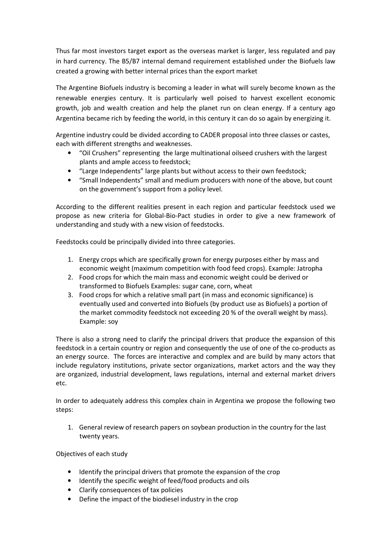Thus far most investors target export as the overseas market is larger, less regulated and pay in hard currency. The B5/B7 internal demand requirement established under the Biofuels law created a growing with better internal prices than the export market

The Argentine Biofuels industry is becoming a leader in what will surely become known as the renewable energies century. It is particularly well poised to harvest excellent economic growth, job and wealth creation and help the planet run on clean energy. If a century ago Argentina became rich by feeding the world, in this century it can do so again by energizing it.

Argentine industry could be divided according to CADER proposal into three classes or castes, each with different strengths and weaknesses.

- "Oil Crushers" representing the large multinational oilseed crushers with the largest plants and ample access to feedstock;
- "Large Independents" large plants but without access to their own feedstock;
- "Small Independents" small and medium producers with none of the above, but count on the government's support from a policy level.

According to the different realities present in each region and particular feedstock used we propose as new criteria for Global-Bio-Pact studies in order to give a new framework of understanding and study with a new vision of feedstocks.

Feedstocks could be principally divided into three categories.

- 1. Energy crops which are specifically grown for energy purposes either by mass and economic weight (maximum competition with food feed crops). Example: Jatropha
- 2. Food crops for which the main mass and economic weight could be derived or transformed to Biofuels Examples: sugar cane, corn, wheat
- 3. Food crops for which a relative small part (in mass and economic significance) is eventually used and converted into Biofuels (by product use as Biofuels) a portion of the market commodity feedstock not exceeding 20 % of the overall weight by mass). Example: soy

There is also a strong need to clarify the principal drivers that produce the expansion of this feedstock in a certain country or region and consequently the use of one of the co-products as an energy source. The forces are interactive and complex and are build by many actors that include regulatory institutions, private sector organizations, market actors and the way they are organized, industrial development, laws regulations, internal and external market drivers etc.

In order to adequately address this complex chain in Argentina we propose the following two steps:

1. General review of research papers on soybean production in the country for the last twenty years.

Objectives of each study

- Identify the principal drivers that promote the expansion of the crop
- Identify the specific weight of feed/food products and oils
- Clarify consequences of tax policies
- Define the impact of the biodiesel industry in the crop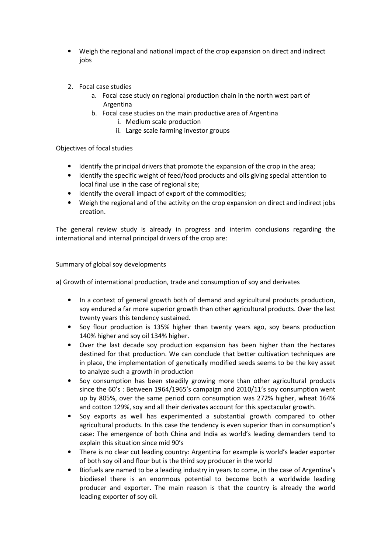- Weigh the regional and national impact of the crop expansion on direct and indirect jobs
- 2. Focal case studies
	- a. Focal case study on regional production chain in the north west part of Argentina
	- b. Focal case studies on the main productive area of Argentina
		- i. Medium scale production
		- ii. Large scale farming investor groups

Objectives of focal studies

- Identify the principal drivers that promote the expansion of the crop in the area;
- Identify the specific weight of feed/food products and oils giving special attention to local final use in the case of regional site;
- Identify the overall impact of export of the commodities;
- Weigh the regional and of the activity on the crop expansion on direct and indirect jobs creation.

The general review study is already in progress and interim conclusions regarding the international and internal principal drivers of the crop are:

Summary of global soy developments

a) Growth of international production, trade and consumption of soy and derivates

- In a context of general growth both of demand and agricultural products production, soy endured a far more superior growth than other agricultural products. Over the last twenty years this tendency sustained.
- Soy flour production is 135% higher than twenty years ago, soy beans production 140% higher and soy oil 134% higher.
- Over the last decade soy production expansion has been higher than the hectares destined for that production. We can conclude that better cultivation techniques are in place, the implementation of genetically modified seeds seems to be the key asset to analyze such a growth in production
- Soy consumption has been steadily growing more than other agricultural products since the 60's : Between 1964/1965's campaign and 2010/11's soy consumption went up by 805%, over the same period corn consumption was 272% higher, wheat 164% and cotton 129%, soy and all their derivates account for this spectacular growth.
- Soy exports as well has experimented a substantial growth compared to other agricultural products. In this case the tendency is even superior than in consumption's case: The emergence of both China and India as world's leading demanders tend to explain this situation since mid 90's
- There is no clear cut leading country: Argentina for example is world's leader exporter of both soy oil and flour but is the third soy producer in the world
- Biofuels are named to be a leading industry in years to come, in the case of Argentina's biodiesel there is an enormous potential to become both a worldwide leading producer and exporter. The main reason is that the country is already the world leading exporter of soy oil.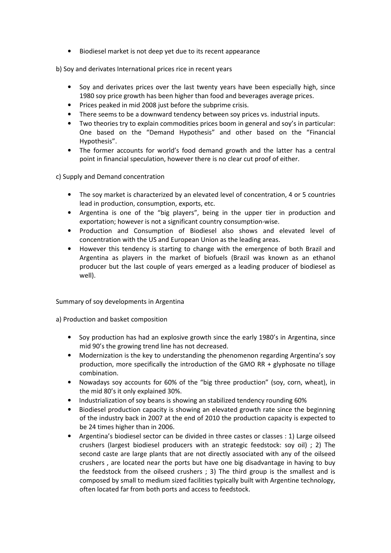• Biodiesel market is not deep yet due to its recent appearance

b) Soy and derivates International prices rice in recent years

- Soy and derivates prices over the last twenty years have been especially high, since 1980 soy price growth has been higher than food and beverages average prices.
- Prices peaked in mid 2008 just before the subprime crisis.
- There seems to be a downward tendency between soy prices vs. industrial inputs.
- Two theories try to explain commodities prices boom in general and soy's in particular: One based on the "Demand Hypothesis" and other based on the "Financial Hypothesis".
- The former accounts for world's food demand growth and the latter has a central point in financial speculation, however there is no clear cut proof of either.

c) Supply and Demand concentration

- The soy market is characterized by an elevated level of concentration, 4 or 5 countries lead in production, consumption, exports, etc.
- Argentina is one of the "big players", being in the upper tier in production and exportation; however is not a significant country consumption-wise.
- Production and Consumption of Biodiesel also shows and elevated level of concentration with the US and European Union as the leading areas.
- However this tendency is starting to change with the emergence of both Brazil and Argentina as players in the market of biofuels (Brazil was known as an ethanol producer but the last couple of years emerged as a leading producer of biodiesel as well).

Summary of soy developments in Argentina

a) Production and basket composition

- Soy production has had an explosive growth since the early 1980's in Argentina, since mid 90's the growing trend line has not decreased.
- Modernization is the key to understanding the phenomenon regarding Argentina's soy production, more specifically the introduction of the GMO RR  $+$  glyphosate no tillage combination.
- Nowadays soy accounts for 60% of the "big three production" (soy, corn, wheat), in the mid 80's it only explained 30%.
- Industrialization of soy beans is showing an stabilized tendency rounding 60%
- Biodiesel production capacity is showing an elevated growth rate since the beginning of the industry back in 2007 at the end of 2010 the production capacity is expected to be 24 times higher than in 2006.
- Argentina's biodiesel sector can be divided in three castes or classes : 1) Large oilseed crushers (largest biodiesel producers with an strategic feedstock: soy oil) ; 2) The second caste are large plants that are not directly associated with any of the oilseed crushers , are located near the ports but have one big disadvantage in having to buy the feedstock from the oilseed crushers ; 3) The third group is the smallest and is composed by small to medium sized facilities typically built with Argentine technology, often located far from both ports and access to feedstock.